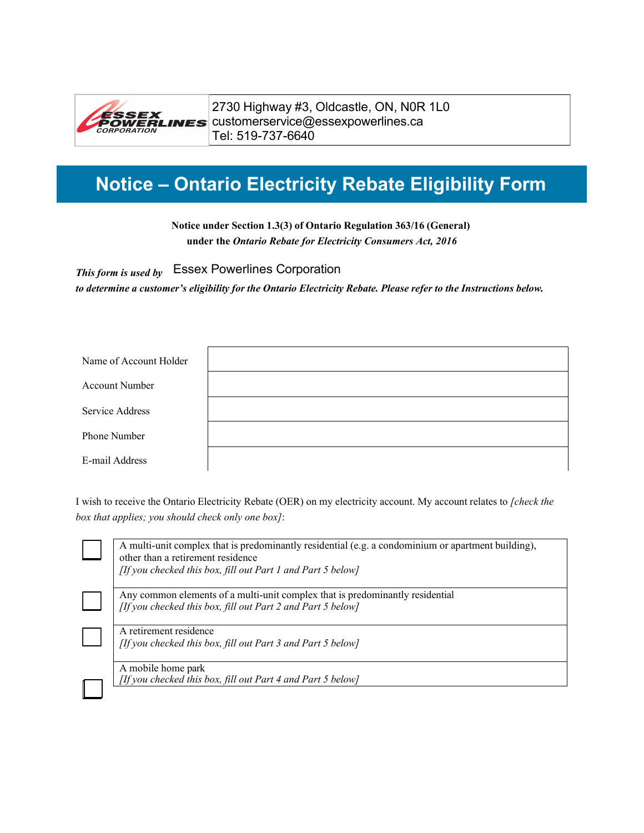

2730 Highway #3, Oldcastle, ON, N0R 1L0 ESSEX<br>CWERLINES Customerservice@essexpowerlines.ca Tel: 519-737-6640

# **Notice – Ontario Electricity Rebate Eligibility Form**

**Notice under Section 1.3(3) of Ontario Regulation 363/16 (General) under the** *Ontario Rebate for Electricity Consumers Act, 2016*

*This form is used by* Essex Powerlines Corporation

*to determine a customer's eligibility for the Ontario Electricity Rebate. Please refer to the Instructions below.* 

| Name of Account Holder |  |
|------------------------|--|
| <b>Account Number</b>  |  |
| Service Address        |  |
| Phone Number           |  |
| E-mail Address         |  |

I wish to receive the Ontario Electricity Rebate (OER) on my electricity account. My account relates to *[check the box that applies; you should check only one box]*:

| A multi-unit complex that is predominantly residential (e.g. a condominium or apartment building),<br>other than a retirement residence |
|-----------------------------------------------------------------------------------------------------------------------------------------|
| [If you checked this box, fill out Part 1 and Part 5 below]                                                                             |
| Any common elements of a multi-unit complex that is predominantly residential                                                           |
| [If you checked this box, fill out Part 2 and Part 5 below]                                                                             |
| A retirement residence                                                                                                                  |
| [If you checked this box, fill out Part 3 and Part 5 below]                                                                             |
| A mobile home park                                                                                                                      |
| [If you checked this box, fill out Part 4 and Part 5 below]                                                                             |
|                                                                                                                                         |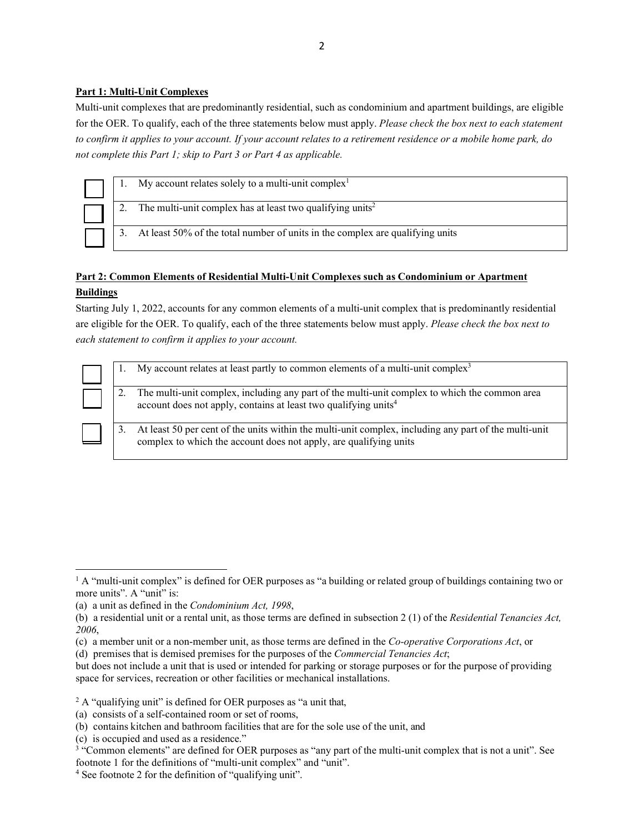#### **Part 1: Multi-Unit Complexes**

Multi-unit complexes that are predominantly residential, such as condominium and apartment buildings, are eligible for the OER. To qualify, each of the three statements below must apply. *Please check the box next to each statement to confirm it applies to your account. If your account relates to a retirement residence or a mobile home park, do not complete this Part 1; skip to Part 3 or Part 4 as applicable.*

|  | My account relates solely to a multi-unit complex <sup>1</sup>                |
|--|-------------------------------------------------------------------------------|
|  | The multi-unit complex has at least two qualifying units <sup>2</sup>         |
|  | At least 50% of the total number of units in the complex are qualifying units |

# **Part 2: Common Elements of Residential Multi-Unit Complexes such as Condominium or Apartment Buildings**

Starting July 1, 2022, accounts for any common elements of a multi-unit complex that is predominantly residential are eligible for the OER. To qualify, each of the three statements below must apply. *Please check the box next to each statement to confirm it applies to your account.*

|    | My account relates at least partly to common elements of a multi-unit complex <sup>3</sup>                                                                                   |
|----|------------------------------------------------------------------------------------------------------------------------------------------------------------------------------|
|    | The multi-unit complex, including any part of the multi-unit complex to which the common area<br>account does not apply, contains at least two qualifying units <sup>4</sup> |
| 3. | At least 50 per cent of the units within the multi-unit complex, including any part of the multi-unit<br>complex to which the account does not apply, are qualifying units   |

- <span id="page-1-2"></span>(c) is occupied and used as a residence."
- <sup>3</sup> "Common elements" are defined for OER purposes as "any part of the multi-unit complex that is not a unit". See footnote 1 for the definitions of "multi-unit complex" and "unit".

<span id="page-1-0"></span><sup>&</sup>lt;sup>1</sup> A "multi-unit complex" is defined for OER purposes as "a building or related group of buildings containing two or more units". A "unit" is:

<sup>(</sup>a) a unit as defined in the *Condominium Act, 1998*,

<sup>(</sup>b) a residential unit or a rental unit, as those terms are defined in subsection 2 (1) of the *Residential Tenancies Act, 2006*,

<sup>(</sup>c) a member unit or a non-member unit, as those terms are defined in the *Co-operative Corporations Act*, or

<sup>(</sup>d) premises that is demised premises for the purposes of the *Commercial Tenancies Act*;

but does not include a unit that is used or intended for parking or storage purposes or for the purpose of providing space for services, recreation or other facilities or mechanical installations.

<span id="page-1-1"></span> $2A$  "qualifying unit" is defined for OER purposes as "a unit that,

<sup>(</sup>a) consists of a self-contained room or set of rooms,

<sup>(</sup>b) contains kitchen and bathroom facilities that are for the sole use of the unit, and

<span id="page-1-3"></span><sup>4</sup> See footnote 2 for the definition of "qualifying unit".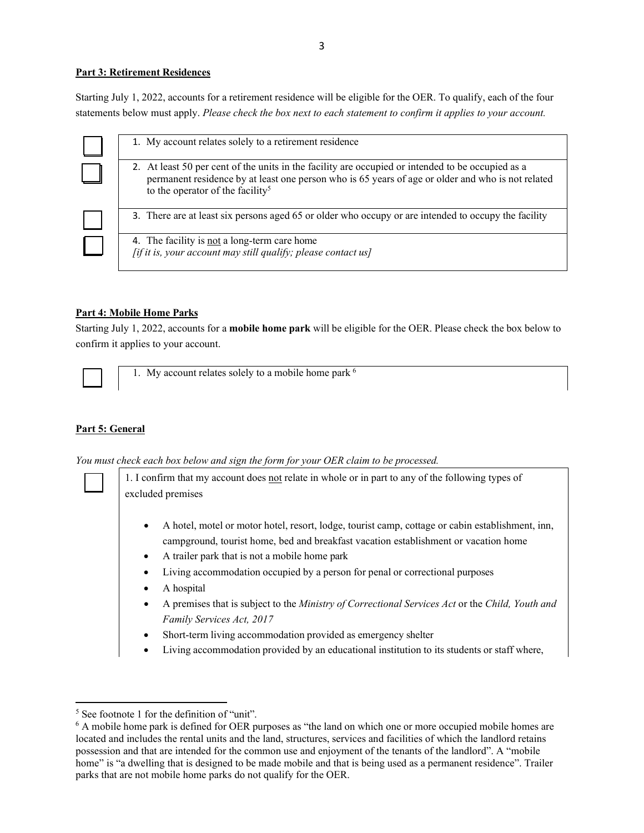#### **Part 3: Retirement Residences**

Starting July 1, 2022, accounts for a retirement residence will be eligible for the OER. To qualify, each of the four statements below must apply. *Please check the box next to each statement to confirm it applies to your account.*

| 1. My account relates solely to a retirement residence                                                                                                                                                                                                 |
|--------------------------------------------------------------------------------------------------------------------------------------------------------------------------------------------------------------------------------------------------------|
| 2. At least 50 per cent of the units in the facility are occupied or intended to be occupied as a<br>permanent residence by at least one person who is 65 years of age or older and who is not related<br>to the operator of the facility <sup>5</sup> |
| 3. There are at least six persons aged 65 or older who occupy or are intended to occupy the facility                                                                                                                                                   |
| 4. The facility is not a long-term care home<br>$[$ if it is, your account may still qualify; please contact us]                                                                                                                                       |

## **Part 4: Mobile Home Parks**

Starting July 1, 2022, accounts for a **mobile home park** will be eligible for the OER. Please check the box below to confirm it applies to your account.



1. My account relates solely to a mobile home park  $<sup>6</sup>$ </sup>

## **Part 5: General**

*You must check each box below and sign the form for your OER claim to be processed.*

1. I confirm that my account does not relate in whole or in part to any of the following types of excluded premises

- A hotel, motel or motor hotel, resort, lodge, tourist camp, cottage or cabin establishment, inn, campground, tourist home, bed and breakfast vacation establishment or vacation home
- A trailer park that is not a mobile home park
- Living accommodation occupied by a person for penal or correctional purposes
- A hospital
- A premises that is subject to the *Ministry of Correctional Services Act* or the *Child, Youth and Family Services Act, 2017*
- Short-term living accommodation provided as emergency shelter
- Living accommodation provided by an educational institution to its students or staff where,

<sup>&</sup>lt;sup>5</sup> See footnote 1 for the definition of "unit".

<sup>6</sup> A mobile home park is defined for OER purposes as "the land on which one or more occupied mobile homes are located and includes the rental units and the land, structures, services and facilities of which the landlord retains possession and that are intended for the common use and enjoyment of the tenants of the landlord". A "mobile home" is "a dwelling that is designed to be made mobile and that is being used as a permanent residence". Trailer parks that are not mobile home parks do not qualify for the OER.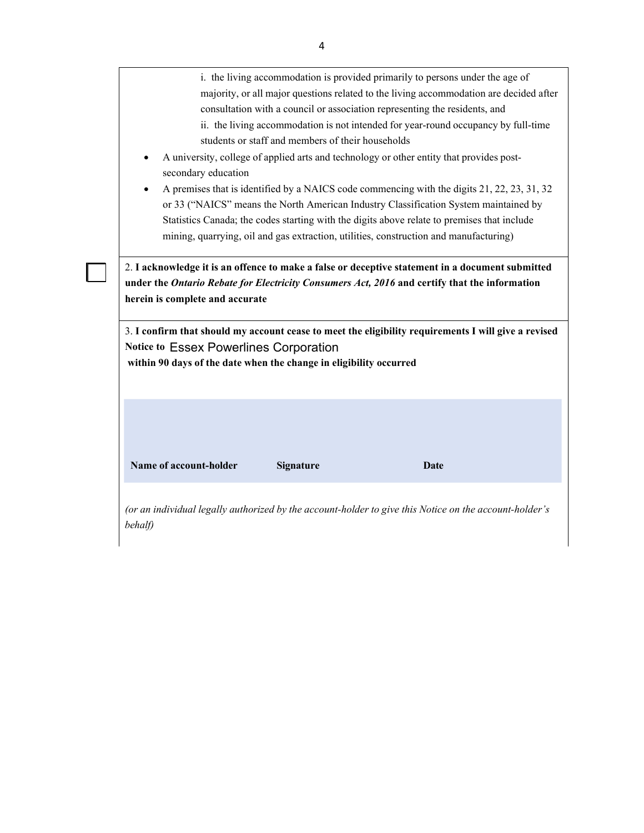| i. the living accommodation is provided primarily to persons under the age of    |                                                                                                                                                                                                       |                                                                                                  |      |  |
|----------------------------------------------------------------------------------|-------------------------------------------------------------------------------------------------------------------------------------------------------------------------------------------------------|--------------------------------------------------------------------------------------------------|------|--|
|                                                                                  | majority, or all major questions related to the living accommodation are decided after                                                                                                                |                                                                                                  |      |  |
|                                                                                  | consultation with a council or association representing the residents, and                                                                                                                            |                                                                                                  |      |  |
|                                                                                  | ii. the living accommodation is not intended for year-round occupancy by full-time<br>students or staff and members of their households                                                               |                                                                                                  |      |  |
| secondary education                                                              | A university, college of applied arts and technology or other entity that provides post-                                                                                                              |                                                                                                  |      |  |
|                                                                                  | A premises that is identified by a NAICS code commencing with the digits 21, 22, 23, 31, 32                                                                                                           |                                                                                                  |      |  |
|                                                                                  | or 33 ("NAICS" means the North American Industry Classification System maintained by                                                                                                                  |                                                                                                  |      |  |
|                                                                                  | Statistics Canada; the codes starting with the digits above relate to premises that include                                                                                                           |                                                                                                  |      |  |
|                                                                                  | mining, quarrying, oil and gas extraction, utilities, construction and manufacturing)                                                                                                                 |                                                                                                  |      |  |
|                                                                                  |                                                                                                                                                                                                       |                                                                                                  |      |  |
|                                                                                  | under the Ontario Rebate for Electricity Consumers Act, 2016 and certify that the information<br>3. I confirm that should my account cease to meet the eligibility requirements I will give a revised | 2. I acknowledge it is an offence to make a false or deceptive statement in a document submitted |      |  |
| herein is complete and accurate<br><b>Notice to Essex Powerlines Corporation</b> | within 90 days of the date when the change in eligibility occurred                                                                                                                                    |                                                                                                  |      |  |
|                                                                                  |                                                                                                                                                                                                       |                                                                                                  |      |  |
|                                                                                  |                                                                                                                                                                                                       |                                                                                                  |      |  |
| Name of account-holder                                                           | <b>Signature</b>                                                                                                                                                                                      |                                                                                                  | Date |  |
|                                                                                  |                                                                                                                                                                                                       |                                                                                                  |      |  |
|                                                                                  |                                                                                                                                                                                                       |                                                                                                  |      |  |
| behalf)                                                                          | (or an individual legally authorized by the account-holder to give this Notice on the account-holder's                                                                                                |                                                                                                  |      |  |